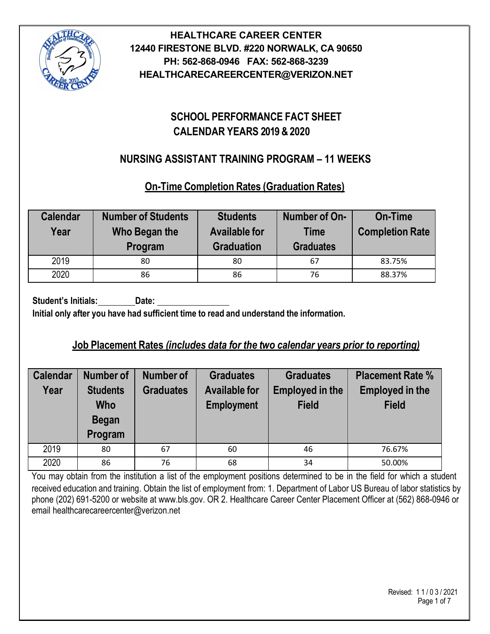

# **SCHOOL PERFORMANCE FACT SHEET CALENDAR YEARS 2019 & 2020**

# **NURSING ASSISTANT TRAINING PROGRAM – 11 WEEKS**

# **On-Time Completion Rates (Graduation Rates)**

| <b>Calendar</b><br>Year | <b>Number of Students</b><br>Who Began the<br>Program | <b>Students</b><br><b>Available for</b><br><b>Graduation</b> | Number of On-<br><b>Time</b><br><b>Graduates</b> | <b>On-Time</b><br><b>Completion Rate</b> |
|-------------------------|-------------------------------------------------------|--------------------------------------------------------------|--------------------------------------------------|------------------------------------------|
| 2019                    | 80                                                    | 80                                                           | 67                                               | 83.75%                                   |
| 2020                    | 86                                                    | 86                                                           | 76                                               | 88.37%                                   |

**Student's Initials: Date: Initial only after you have had sufficient time to read and understand the information.**

# **Job Placement Rates** *(includes data for the two calendar years prior to reporting)*

| <b>Calendar</b><br>Year | Number of<br><b>Students</b><br><b>Who</b><br><b>Began</b><br>Program | Number of<br><b>Graduates</b> | <b>Graduates</b><br><b>Available for</b><br><b>Employment</b> | <b>Graduates</b><br><b>Employed in the</b><br><b>Field</b> | <b>Placement Rate %</b><br><b>Employed in the</b><br><b>Field</b> |
|-------------------------|-----------------------------------------------------------------------|-------------------------------|---------------------------------------------------------------|------------------------------------------------------------|-------------------------------------------------------------------|
| 2019                    | 80                                                                    | 67                            | 60                                                            | 46                                                         | 76.67%                                                            |
| 2020                    | 86                                                                    | 76                            | 68                                                            | 34                                                         | 50.00%                                                            |

You may obtain from the institution a list of the employment positions determined to be in the field for which a student received education and training. Obtain the list of employment from: 1. Department of Labor US Bureau of labor statistics by phone (202) 691-5200 or website at www.bls.gov. OR 2. Healthcare Career Center Placement Officer at (562) 868-0946 or email healthcarecareercenter@verizon.net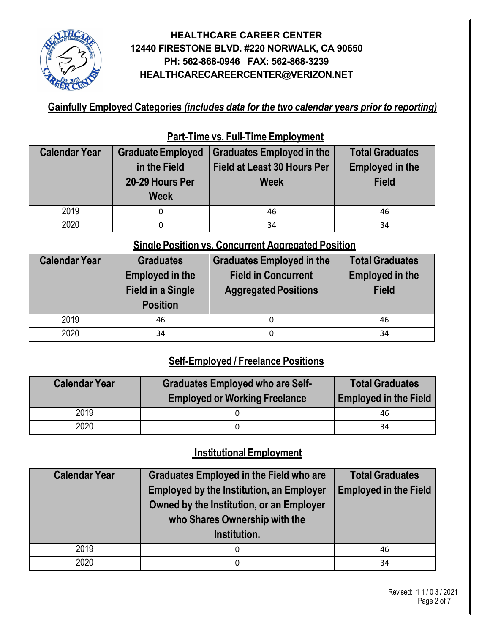

**Gainfully Employed Categories** *(includes data for the two calendar years prior to reporting)*

|                      | <u>are runs von am runs Employmone</u> |                                    |                        |  |  |  |  |
|----------------------|----------------------------------------|------------------------------------|------------------------|--|--|--|--|
| <b>Calendar Year</b> | <b>Graduate Employed</b>               | <b>Graduates Employed in the</b>   | <b>Total Graduates</b> |  |  |  |  |
|                      | in the Field                           | <b>Field at Least 30 Hours Per</b> | <b>Employed in the</b> |  |  |  |  |
|                      | 20-29 Hours Per                        | <b>Week</b>                        | <b>Field</b>           |  |  |  |  |
|                      | <b>Week</b>                            |                                    |                        |  |  |  |  |
| 2019                 |                                        | 46                                 | 46                     |  |  |  |  |
| 2020                 |                                        | 34                                 | 34                     |  |  |  |  |

**Part-Time vs. Full-Time Employment**

# **Single Position vs. Concurrent Aggregated Position**

| <b>Calendar Year</b> | <b>Graduates</b>                                                      | <b>Graduates Employed in the</b>                          | <b>Total Graduates</b>                 |  |
|----------------------|-----------------------------------------------------------------------|-----------------------------------------------------------|----------------------------------------|--|
|                      | <b>Employed in the</b><br><b>Field in a Single</b><br><b>Position</b> | <b>Field in Concurrent</b><br><b>Aggregated Positions</b> | <b>Employed in the</b><br><b>Field</b> |  |
| 2019                 | 46                                                                    | 0                                                         | 46                                     |  |
| 2020                 | 34                                                                    | 0                                                         | 34                                     |  |

# **Self-Employed / Freelance Positions**

| <b>Calendar Year</b> | <b>Graduates Employed who are Self-</b><br><b>Employed or Working Freelance</b> | <b>Total Graduates</b><br><b>Employed in the Field</b> |  |
|----------------------|---------------------------------------------------------------------------------|--------------------------------------------------------|--|
| 2019                 |                                                                                 | 46                                                     |  |
| 2020                 |                                                                                 | 34                                                     |  |

# **InstitutionalEmployment**

| <b>Calendar Year</b> | <b>Graduates Employed in the Field who are</b><br><b>Employed by the Institution, an Employer</b><br>Owned by the Institution, or an Employer<br>who Shares Ownership with the<br>Institution. | <b>Total Graduates</b><br><b>Employed in the Field</b> |
|----------------------|------------------------------------------------------------------------------------------------------------------------------------------------------------------------------------------------|--------------------------------------------------------|
| 2019                 | 0                                                                                                                                                                                              | 46                                                     |
| 2020                 | 0                                                                                                                                                                                              | 34                                                     |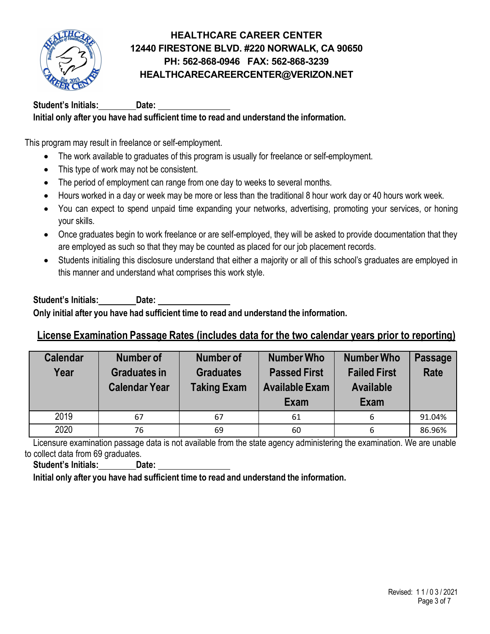

**Student's Initials: Date:**

### **Initial only after you have had sufficient time to read and understand the information.**

This program may result in freelance or self-employment.

- The work available to graduates of this program is usually for freelance or self-employment.
- This type of work may not be consistent.
- The period of employment can range from one day to weeks to several months.
- Hours worked in a day or week may be more or less than the traditional 8 hour work day or 40 hours work week.
- You can expect to spend unpaid time expanding your networks, advertising, promoting your services, or honing your skills.
- Once graduates begin to work freelance or are self-employed, they will be asked to provide documentation that they are employed as such so that they may be counted as placed for our job placement records.
- Students initialing this disclosure understand that either a majority or all of this school's graduates are employed in this manner and understand what comprises this work style.

#### **Student's Initials: Date: Only initial after you have had sufficient time to read and understand the information.**

# **License Examination Passage Rates (includes data for the two calendar years prior to reporting)**

| <b>Calendar</b><br>Year | <b>Number of</b><br><b>Graduates in</b><br><b>Calendar Year</b> | <b>Number of</b><br><b>Graduates</b><br><b>Taking Exam</b> | <b>Number Who</b><br><b>Passed First</b><br><b>Available Exam</b><br>Exam | <b>Number Who</b><br><b>Failed First</b><br><b>Available</b><br>Exam | <b>Passage</b><br><b>Rate</b> |
|-------------------------|-----------------------------------------------------------------|------------------------------------------------------------|---------------------------------------------------------------------------|----------------------------------------------------------------------|-------------------------------|
| 2019                    | 67                                                              | 67                                                         | 61                                                                        | 6                                                                    | 91.04%                        |
| 2020                    | 76                                                              | 69                                                         | 60                                                                        | 6                                                                    | 86.96%                        |

Licensure examination passage data is not available from the state agency administering the examination. We are unable to collect data from 69 graduates.

**Student's Initials: Date:**

**Initial only after you have had sufficient time to read and understand the information.**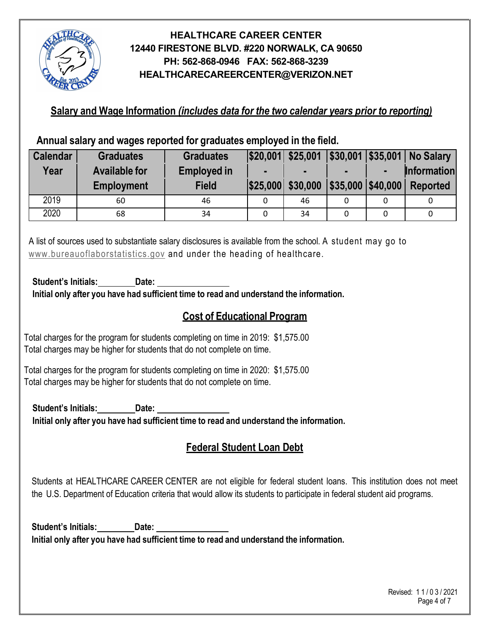

**Salary and Wage Information** *(includes data for the two calendar years prior to reporting)*

**Annual salary and wages reported for graduates employed in the field.**

| <b>Calendar</b> | <b>Graduates</b>     | <b>Graduates</b>   |   |                      |                         |   | $ \$20,001 $ \$25,001   \$30,001   \$35,001   No Salary |
|-----------------|----------------------|--------------------|---|----------------------|-------------------------|---|---------------------------------------------------------|
| Year            | <b>Available for</b> | <b>Employed in</b> |   |                      |                         | ш | <b>Information</b>                                      |
|                 | <b>Employment</b>    | <b>Field</b>       |   | $ $25,000 $ \$30,000 | $ $ \$35,000   \$40,000 |   | <b>Reported</b>                                         |
| 2019            | 60                   | 46                 |   | 46                   |                         | 0 |                                                         |
| 2020            | 68                   | 34                 | 0 | 34                   | 0                       | 0 |                                                         |

A list of sources used to substantiate salary disclosures is available from the school. A student may go to [www.bureauoflaborstatistics.gov](http://www.bureauoflaborstatistics.gov/) and under the heading of healthcare.

**Student's Initials: Date:**

**Initial only after you have had sufficient time to read and understand the information.**

# **Cost of Educational Program**

Total charges for the program for students completing on time in 2019: \$1,575.00 Total charges may be higher for students that do not complete on time.

Total charges for the program for students completing on time in 2020: \$1,575.00 Total charges may be higher for students that do not complete on time.

**Student's Initials: Date: Initial only after you have had sufficient time to read and understand the information.**

# **Federal Student Loan Debt**

Students at HEALTHCARE CAREER CENTER are not eligible for federal student loans. This institution does not meet the U.S. Department of Education criteria that would allow its students to participate in federal student aid programs.

**Student's Initials: Date: Initial only after you have had sufficient time to read and understand the information.**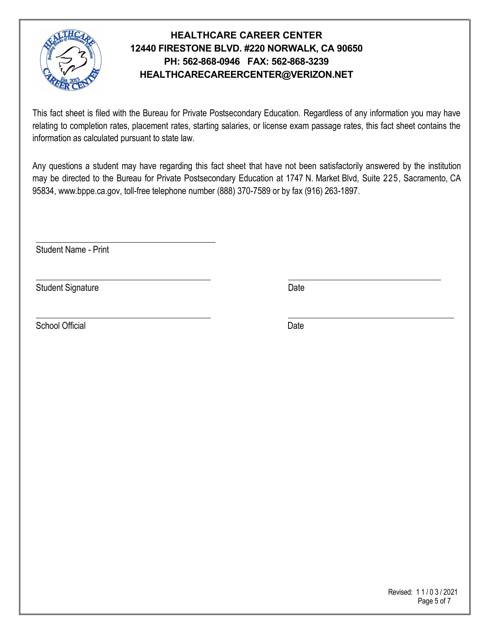

This fact sheet is filed with the Bureau for Private Postsecondary Education. Regardless of any information you may have relating to completion rates, placement rates, starting salaries, or license exam passage rates, this fact sheet contains the information as calculated pursuant to state law.

Any questions a student may have regarding this fact sheet that have not been satisfactorily answered by the institution may be directed to the Bureau for Private Postsecondary Education at 1747 N. Market Blvd, Suite 225, Sacramento, CA 95834, [www.bppe.ca.gov,](http://www.bppe.ca.gov/) toll-free telephone number (888) 370-7589 or by fax (916) 263-1897.

Student Name - Print

Student Signature Date Date Controller and Date Date Date

School Official Date **Date** 

 Revised: 1 1 / 0 3 / 2021 Page 5 of 7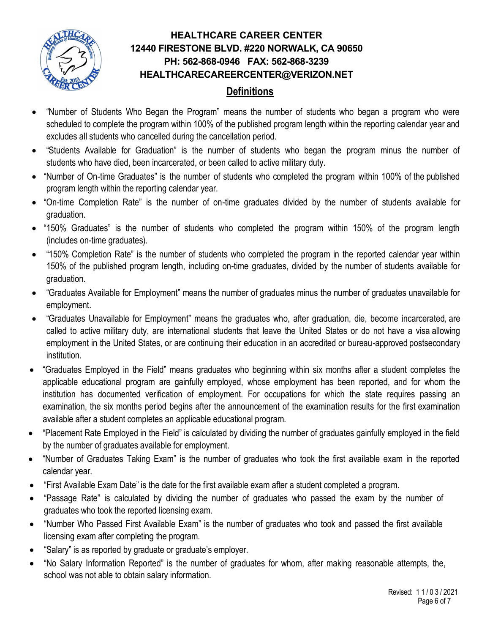

# **Definitions**

- "Number of Students Who Began the Program" means the number of students who began a program who were scheduled to complete the program within 100% of the published program length within the reporting calendar year and excludes all students who cancelled during the cancellation period.
- "Students Available for Graduation" is the number of students who began the program minus the number of students who have died, been incarcerated, or been called to active military duty.
- "Number of On-time Graduates" is the number of students who completed the program within 100% of the published program length within the reporting calendar year.
- "On-time Completion Rate" is the number of on-time graduates divided by the number of students available for graduation.
- "150% Graduates" is the number of students who completed the program within 150% of the program length (includes on-time graduates).
- "150% Completion Rate" is the number of students who completed the program in the reported calendar year within 150% of the published program length, including on-time graduates, divided by the number of students available for graduation.
- "Graduates Available for Employment" means the number of graduates minus the number of graduates unavailable for employment.
- "Graduates Unavailable for Employment" means the graduates who, after graduation, die, become incarcerated, are called to active military duty, are international students that leave the United States or do not have a visa allowing employment in the United States, or are continuing their education in an accredited or bureau-approved postsecondary institution.
- "Graduates Employed in the Field" means graduates who beginning within six months after a student completes the applicable educational program are gainfully employed, whose employment has been reported, and for whom the institution has documented verification of employment. For occupations for which the state requires passing an examination, the six months period begins after the announcement of the examination results for the first examination available after a student completes an applicable educational program.
- "Placement Rate Employed in the Field" is calculated by dividing the number of graduates gainfully employed in the field by the number of graduates available for employment.
- "Number of Graduates Taking Exam" is the number of graduates who took the first available exam in the reported calendar year.
- "First Available Exam Date" is the date for the first available exam after a student completed a program.
- "Passage Rate" is calculated by dividing the number of graduates who passed the exam by the number of graduates who took the reported licensing exam.
- "Number Who Passed First Available Exam" is the number of graduates who took and passed the first available licensing exam after completing the program.
- "Salary" is as reported by graduate or graduate's employer.
- "No Salary Information Reported" is the number of graduates for whom, after making reasonable attempts, the, school was not able to obtain salary information.